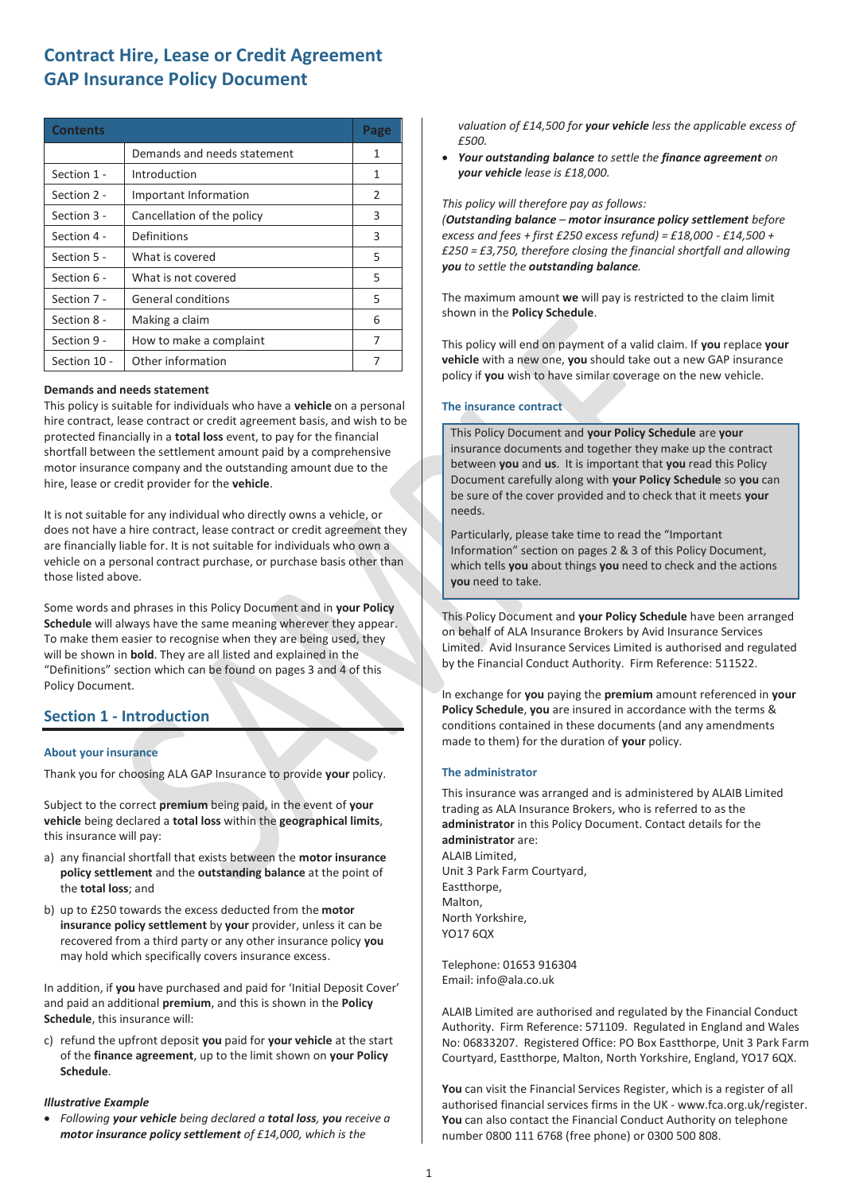| <b>Contents</b> |                             | Page |
|-----------------|-----------------------------|------|
|                 | Demands and needs statement | 1    |
| Section 1 -     | Introduction                | 1    |
| Section 2 -     | Important Information       | 2    |
| Section 3 -     | Cancellation of the policy  | 3    |
| Section 4 -     | Definitions                 | 3    |
| Section 5 -     | What is covered             | 5    |
| Section 6 -     | What is not covered         | 5    |
| Section 7 -     | General conditions          | 5    |
| Section 8 -     | Making a claim              | 6    |
| Section 9 -     | How to make a complaint     | 7    |
| Section 10 -    | Other information           | 7    |

#### **Demands and needs statement**

This policy is suitable for individuals who have a **vehicle** on a personal hire contract, lease contract or credit agreement basis, and wish to be protected financially in a **total loss** event, to pay for the financial shortfall between the settlement amount paid by a comprehensive motor insurance company and the outstanding amount due to the hire, lease or credit provider for the **vehicle**.

It is not suitable for any individual who directly owns a vehicle, or does not have a hire contract, lease contract or credit agreement they are financially liable for. It is not suitable for individuals who own a vehicle on a personal contract purchase, or purchase basis other than those listed above.

Some words and phrases in this Policy Document and in **your Policy Schedule** will always have the same meaning wherever they appear. To make them easier to recognise when they are being used, they will be shown in **bold**. They are all listed and explained in the "Definitions" section which can be found on pages 3 and 4 of this Policy Document.

# **Section 1 - Introduction**

#### **About your insurance**

Thank you for choosing ALA GAP Insurance to provide **your** policy.

Subject to the correct **premium** being paid, in the event of **your vehicle** being declared a **total loss** within the **geographical limits**, this insurance will pay:

- a) any financial shortfall that exists between the **motor insurance policy settlement** and the **outstanding balance** at the point of the **total loss**; and
- b) up to £250 towards the excess deducted from the **motor insurance policy settlement** by **your** provider, unless it can be recovered from a third party or any other insurance policy **you** may hold which specifically covers insurance excess.

In addition, if **you** have purchased and paid for 'Initial Deposit Cover' and paid an additional **premium**, and this is shown in the **Policy Schedule**, this insurance will:

c) refund the upfront deposit **you** paid for **your vehicle** at the start of the **finance agreement**, up to the limit shown on **your Policy Schedule**.

#### *Illustrative Example*

x *Following your vehicle being declared a total loss, you receive a motor insurance policy settlement of £14,000, which is the* 

*valuation of £14,500 for your vehicle less the applicable excess of £500.* 

x *Your outstanding balance to settle the finance agreement on your vehicle lease is £18,000.* 

#### *This policy will therefore pay as follows:*

*(Outstanding balance – motor insurance policy settlement before excess and fees + first £250 excess refund) = £18,000 - £14,500 + £250 = £3,750, therefore closing the financial shortfall and allowing you to settle the outstanding balance.* 

The maximum amount **we** will pay is restricted to the claim limit shown in the **Policy Schedule**.

This policy will end on payment of a valid claim. If **you** replace **your vehicle** with a new one, **you** should take out a new GAP insurance policy if **you** wish to have similar coverage on the new vehicle.

#### **The insurance contract**

This Policy Document and **your Policy Schedule** are **your**  insurance documents and together they make up the contract between **you** and **us**. It is important that **you** read this Policy Document carefully along with **your Policy Schedule** so **you** can be sure of the cover provided and to check that it meets **your** needs.

Particularly, please take time to read the "Important Information" section on pages 2 & 3 of this Policy Document, which tells **you** about things **you** need to check and the actions **you** need to take.

This Policy Document and **your Policy Schedule** have been arranged on behalf of ALA Insurance Brokers by Avid Insurance Services Limited. Avid Insurance Services Limited is authorised and regulated by the Financial Conduct Authority. Firm Reference: 511522.

In exchange for **you** paying the **premium** amount referenced in **your Policy Schedule**, **you** are insured in accordance with the terms & conditions contained in these documents (and any amendments made to them) for the duration of **your** policy.

#### **The administrator**

This insurance was arranged and is administered by ALAIB Limited trading as ALA Insurance Brokers, who is referred to as the **administrator** in this Policy Document. Contact details for the **administrator** are: ALAIB Limited, Unit 3 Park Farm Courtyard, Eastthorpe, Malton, North Yorkshire, YO17 6QX

Telephone: 01653 916304 Email: info@ala.co.uk

ALAIB Limited are authorised and regulated by the Financial Conduct Authority. Firm Reference: 571109. Regulated in England and Wales No: 06833207. Registered Office: PO Box Eastthorpe, Unit 3 Park Farm Courtyard, Eastthorpe, Malton, North Yorkshire, England, YO17 6QX.

**You** can visit the Financial Services Register, which is a register of all authorised financial services firms in the UK - www.fca.org.uk/register. **You** can also contact the Financial Conduct Authority on telephone number 0800 111 6768 (free phone) or 0300 500 808.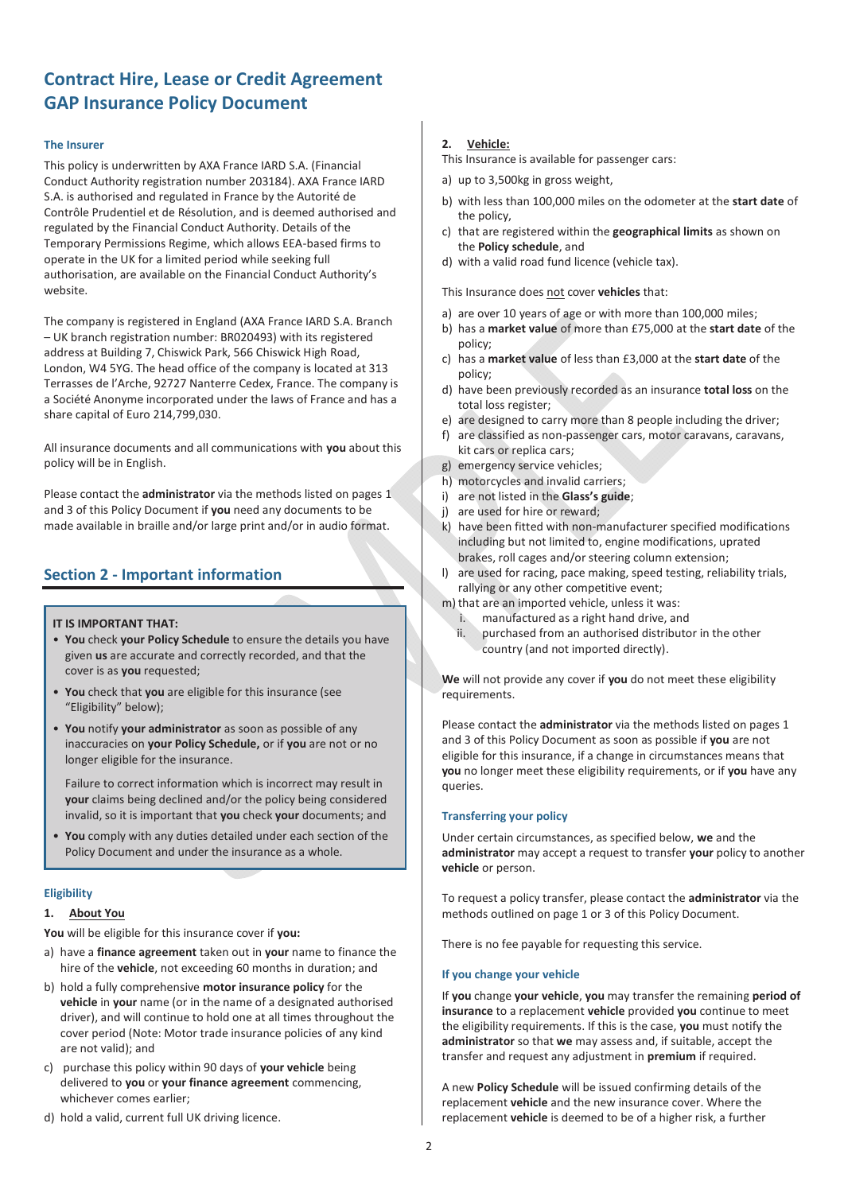### **The Insurer**

This policy is underwritten by AXA France IARD S.A. (Financial Conduct Authority registration number 203184). AXA France IARD S.A. is authorised and regulated in France by the Autorité de Contrôle Prudentiel et de Résolution, and is deemed authorised and regulated by the Financial Conduct Authority. Details of the Temporary Permissions Regime, which allows EEA-based firms to operate in the UK for a limited period while seeking full authorisation, are available on the Financial Conduct Authority's website.

The company is registered in England (AXA France IARD S.A. Branch – UK branch registration number: BR020493) with its registered address at Building 7, Chiswick Park, 566 Chiswick High Road, London, W4 5YG. The head office of the company is located at 313 Terrasses de l'Arche, 92727 Nanterre Cedex, France. The company is a Société Anonyme incorporated under the laws of France and has a share capital of Euro 214,799,030.

All insurance documents and all communications with **you** about this policy will be in English.

Please contact the **administrator** via the methods listed on pages 1 and 3 of this Policy Document if **you** need any documents to be made available in braille and/or large print and/or in audio format.

# **Section 2 - Important information**

#### **IT IS IMPORTANT THAT:**

- **You** check **your Policy Schedule** to ensure the details you have given **us** are accurate and correctly recorded, and that the cover is as **you** requested;
- **You** check that **you** are eligible for this insurance (see "Eligibility" below);
- **You** notify **your administrator** as soon as possible of any inaccuracies on **your Policy Schedule,** or if **you** are not or no longer eligible for the insurance.

Failure to correct information which is incorrect may result in **your** claims being declined and/or the policy being considered invalid, so it is important that **you** check **your** documents; and

• **You** comply with any duties detailed under each section of the Policy Document and under the insurance as a whole.

# **Eligibility**

### **1. About You**

**You** will be eligible for this insurance cover if **you:**

- a) have a **finance agreement** taken out in **your** name to finance the hire of the **vehicle**, not exceeding 60 months in duration; and
- b) hold a fully comprehensive **motor insurance policy** for the **vehicle** in **your** name (or in the name of a designated authorised driver), and will continue to hold one at all times throughout the cover period (Note: Motor trade insurance policies of any kind are not valid); and
- c) purchase this policy within 90 days of **your vehicle** being delivered to **you** or **your finance agreement** commencing, whichever comes earlier;
- d) hold a valid, current full UK driving licence.

# **2. Vehicle:**

This Insurance is available for passenger cars:

- a) up to 3,500kg in gross weight,
- b) with less than 100,000 miles on the odometer at the **start date** of the policy,
- c) that are registered within the **geographical limits** as shown on the **Policy schedule**, and
- d) with a valid road fund licence (vehicle tax).

This Insurance does not cover **vehicles** that:

- a) are over 10 years of age or with more than 100,000 miles;
- b) has a **market value** of more than £75,000 at the **start date** of the policy;
- c) has a **market value** of less than £3,000 at the **start date** of the policy;
- d) have been previously recorded as an insurance **total loss** on the total loss register;
- e) are designed to carry more than 8 people including the driver;
- f) are classified as non-passenger cars, motor caravans, caravans, kit cars or replica cars;
- g) emergency service vehicles;
- h) motorcycles and invalid carriers;
- i) are not listed in the **Glass's guide**;
- j) are used for hire or reward;
- k) have been fitted with non-manufacturer specified modifications including but not limited to, engine modifications, uprated brakes, roll cages and/or steering column extension;
- l) are used for racing, pace making, speed testing, reliability trials, rallying or any other competitive event;
- m) that are an imported vehicle, unless it was:
	- manufactured as a right hand drive, and
	- ii. purchased from an authorised distributor in the other country (and not imported directly).

**We** will not provide any cover if **you** do not meet these eligibility requirements.

Please contact the **administrator** via the methods listed on pages 1 and 3 of this Policy Document as soon as possible if **you** are not eligible for this insurance, if a change in circumstances means that **you** no longer meet these eligibility requirements, or if **you** have any queries.

# **Transferring your policy**

Under certain circumstances, as specified below, **we** and the **administrator** may accept a request to transfer **your** policy to another **vehicle** or person.

To request a policy transfer, please contact the **administrator** via the methods outlined on page 1 or 3 of this Policy Document.

There is no fee payable for requesting this service.

#### **If you change your vehicle**

If **you** change **your vehicle**, **you** may transfer the remaining **period of insurance** to a replacement **vehicle** provided **you** continue to meet the eligibility requirements. If this is the case, **you** must notify the **administrator** so that **we** may assess and, if suitable, accept the transfer and request any adjustment in **premium** if required.

A new **Policy Schedule** will be issued confirming details of the replacement **vehicle** and the new insurance cover. Where the replacement **vehicle** is deemed to be of a higher risk, a further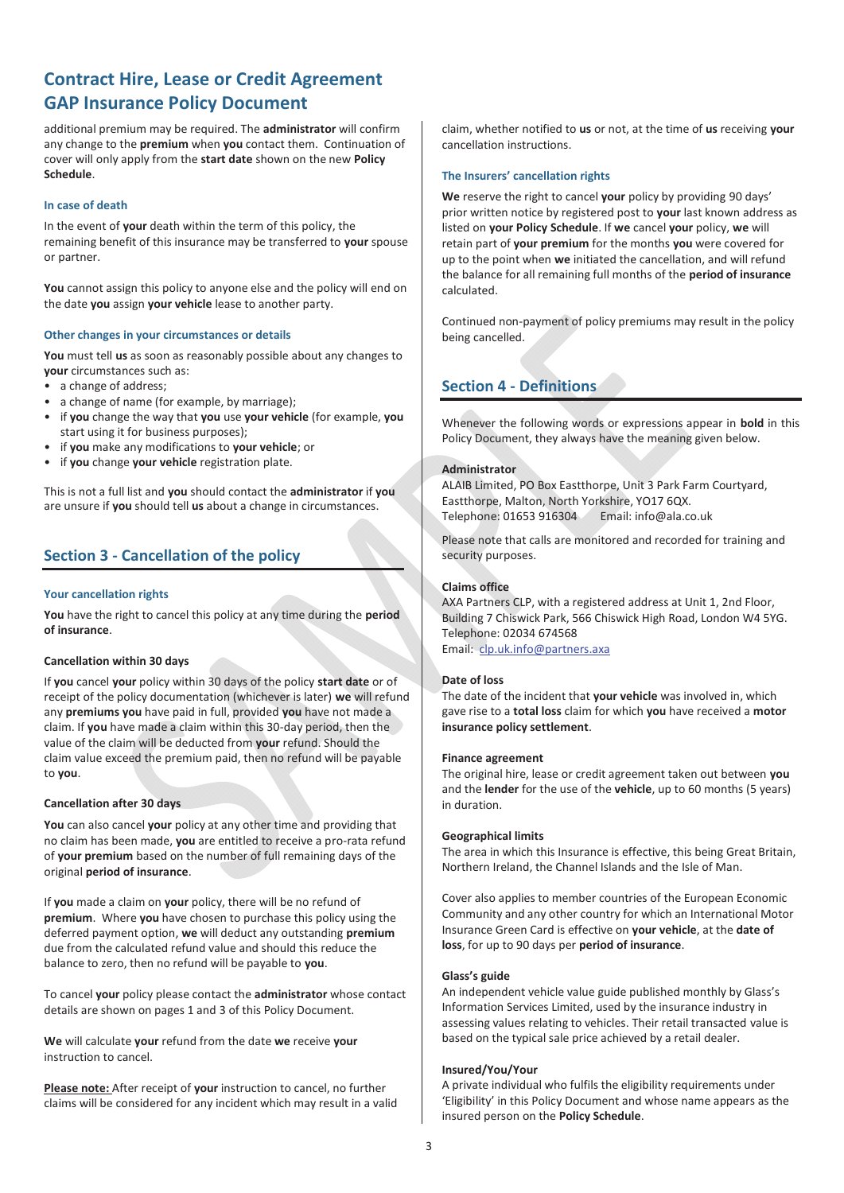additional premium may be required. The **administrator** will confirm any change to the **premium** when **you** contact them. Continuation of cover will only apply from the **start date** shown on the new **Policy Schedule**.

### **In case of death**

In the event of **your** death within the term of this policy, the remaining benefit of this insurance may be transferred to **your** spouse or partner.

**You** cannot assign this policy to anyone else and the policy will end on the date **you** assign **your vehicle** lease to another party.

#### **Other changes in your circumstances or details**

**You** must tell **us** as soon as reasonably possible about any changes to **your** circumstances such as:

- a change of address;
- a change of name (for example, by marriage);
- if **you** change the way that **you** use **your vehicle** (for example, **you** start using it for business purposes);
- if **you** make any modifications to **your vehicle**; or
- if **you** change **your vehicle** registration plate.

This is not a full list and **you** should contact the **administrator** if **you** are unsure if **you** should tell **us** about a change in circumstances.

# **Section 3 - Cancellation of the policy**

### **Your cancellation rights**

**You** have the right to cancel this policy at any time during the **period of insurance**.

### **Cancellation within 30 days**

If **you** cancel **your** policy within 30 days of the policy **start date** or of receipt of the policy documentation (whichever is later) **we** will refund any **premiums you** have paid in full, provided **you** have not made a claim. If **you** have made a claim within this 30-day period, then the value of the claim will be deducted from **your** refund. Should the claim value exceed the premium paid, then no refund will be payable to **you**.

# **Cancellation after 30 days**

**You** can also cancel **your** policy at any other time and providing that no claim has been made, **you** are entitled to receive a pro-rata refund of **your premium** based on the number of full remaining days of the original **period of insurance**.

If **you** made a claim on **your** policy, there will be no refund of **premium**. Where **you** have chosen to purchase this policy using the deferred payment option, **we** will deduct any outstanding **premium** due from the calculated refund value and should this reduce the balance to zero, then no refund will be payable to **you**.

To cancel **your** policy please contact the **administrator** whose contact details are shown on pages 1 and 3 of this Policy Document.

**We** will calculate **your** refund from the date **we** receive **your** instruction to cancel.

**Please note:** After receipt of **your** instruction to cancel, no further claims will be considered for any incident which may result in a valid claim, whether notified to **us** or not, at the time of **us** receiving **your** cancellation instructions.

#### **The Insurers' cancellation rights**

**We** reserve the right to cancel **your** policy by providing 90 days' prior written notice by registered post to **your** last known address as listed on **your Policy Schedule**. If **we** cancel **your** policy, **we** will retain part of **your premium** for the months **you** were covered for up to the point when **we** initiated the cancellation, and will refund the balance for all remaining full months of the **period of insurance** calculated.

Continued non-payment of policy premiums may result in the policy being cancelled.

# **Section 4 - Definitions**

Whenever the following words or expressions appear in **bold** in this Policy Document, they always have the meaning given below.

#### **Administrator**

ALAIB Limited, PO Box Eastthorpe, Unit 3 Park Farm Courtyard, Eastthorpe, Malton, North Yorkshire, YO17 6QX. Telephone: 01653 916304 Email: info@ala.co.uk

Please note that calls are monitored and recorded for training and security purposes.

#### **Claims office**

AXA Partners CLP, with a registered address at Unit 1, 2nd Floor, Building 7 Chiswick Park, 566 Chiswick High Road, London W4 5YG. Telephone: 02034 674568 Email: clp.uk.info@partners.axa

#### **Date of loss**

The date of the incident that **your vehicle** was involved in, which gave rise to a **total loss** claim for which **you** have received a **motor insurance policy settlement**.

#### **Finance agreement**

The original hire, lease or credit agreement taken out between **you** and the **lender** for the use of the **vehicle**, up to 60 months (5 years) in duration.

#### **Geographical limits**

The area in which this Insurance is effective, this being Great Britain, Northern Ireland, the Channel Islands and the Isle of Man.

Cover also applies to member countries of the European Economic Community and any other country for which an International Motor Insurance Green Card is effective on **your vehicle**, at the **date of loss**, for up to 90 days per **period of insurance**.

#### **Glass's guide**

An independent vehicle value guide published monthly by Glass's Information Services Limited, used by the insurance industry in assessing values relating to vehicles. Their retail transacted value is based on the typical sale price achieved by a retail dealer.

#### **Insured/You/Your**

A private individual who fulfils the eligibility requirements under 'Eligibility' in this Policy Document and whose name appears as the insured person on the **Policy Schedule**.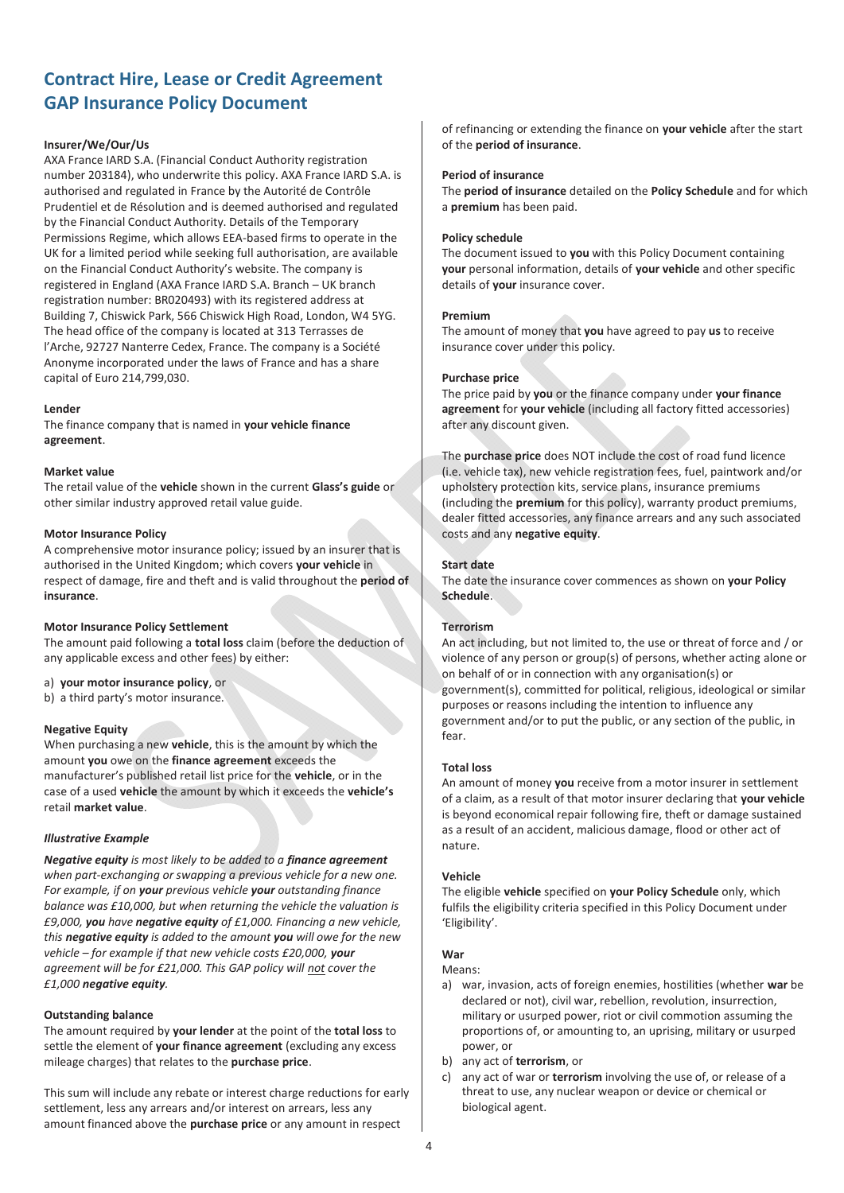# **Insurer/We/Our/Us**

AXA France IARD S.A. (Financial Conduct Authority registration number 203184), who underwrite this policy. AXA France IARD S.A. is authorised and regulated in France by the Autorité de Contrôle Prudentiel et de Résolution and is deemed authorised and regulated by the Financial Conduct Authority. Details of the Temporary Permissions Regime, which allows EEA-based firms to operate in the UK for a limited period while seeking full authorisation, are available on the Financial Conduct Authority's website. The company is registered in England (AXA France IARD S.A. Branch – UK branch registration number: BR020493) with its registered address at Building 7, Chiswick Park, 566 Chiswick High Road, London, W4 5YG. The head office of the company is located at 313 Terrasses de l'Arche, 92727 Nanterre Cedex, France. The company is a Société Anonyme incorporated under the laws of France and has a share capital of Euro 214,799,030.

# **Lender**

The finance company that is named in **your vehicle finance agreement**.

# **Market value**

The retail value of the **vehicle** shown in the current **Glass's guide** or other similar industry approved retail value guide.

# **Motor Insurance Policy**

A comprehensive motor insurance policy; issued by an insurer that is authorised in the United Kingdom; which covers **your vehicle** in respect of damage, fire and theft and is valid throughout the **period of insurance**.

# **Motor Insurance Policy Settlement**

The amount paid following a **total loss** claim (before the deduction of any applicable excess and other fees) by either:

- a) **your motor insurance policy**, or
- b) a third party's motor insurance.

# **Negative Equity**

When purchasing a new **vehicle**, this is the amount by which the amount **you** owe on the **finance agreement** exceeds the manufacturer's published retail list price for the **vehicle**, or in the case of a used **vehicle** the amount by which it exceeds the **vehicle's** retail **market value**.

# *Illustrative Example*

*Negative equity is most likely to be added to a finance agreement when part-exchanging or swapping a previous vehicle for a new one. For example, if on your previous vehicle your outstanding finance balance was £10,000, but when returning the vehicle the valuation is £9,000, you have negative equity of £1,000. Financing a new vehicle, this negative equity is added to the amount you will owe for the new vehicle – for example if that new vehicle costs £20,000, your agreement will be for £21,000. This GAP policy will not cover the £1,000 negative equity.* 

# **Outstanding balance**

The amount required by **your lender** at the point of the **total loss** to settle the element of **your finance agreement** (excluding any excess mileage charges) that relates to the **purchase price**.

This sum will include any rebate or interest charge reductions for early settlement, less any arrears and/or interest on arrears, less any amount financed above the **purchase price** or any amount in respect

of refinancing or extending the finance on **your vehicle** after the start of the **period of insurance**.

#### **Period of insurance**

The **period of insurance** detailed on the **Policy Schedule** and for which a **premium** has been paid.

#### **Policy schedule**

The document issued to **you** with this Policy Document containing **your** personal information, details of **your vehicle** and other specific details of **your** insurance cover.

#### **Premium**

The amount of money that **you** have agreed to pay **us** to receive insurance cover under this policy.

# **Purchase price**

The price paid by **you** or the finance company under **your finance agreement** for **your vehicle** (including all factory fitted accessories) after any discount given.

The **purchase price** does NOT include the cost of road fund licence (i.e. vehicle tax), new vehicle registration fees, fuel, paintwork and/or upholstery protection kits, service plans, insurance premiums (including the **premium** for this policy), warranty product premiums, dealer fitted accessories, any finance arrears and any such associated costs and any **negative equity**.

# **Start date**

The date the insurance cover commences as shown on **your Policy Schedule**.

# **Terrorism**

An act including, but not limited to, the use or threat of force and / or violence of any person or group(s) of persons, whether acting alone or on behalf of or in connection with any organisation(s) or government(s), committed for political, religious, ideological or similar purposes or reasons including the intention to influence any government and/or to put the public, or any section of the public, in fear.

# **Total loss**

An amount of money **you** receive from a motor insurer in settlement of a claim, as a result of that motor insurer declaring that **your vehicle** is beyond economical repair following fire, theft or damage sustained as a result of an accident, malicious damage, flood or other act of nature.

# **Vehicle**

The eligible **vehicle** specified on **your Policy Schedule** only, which fulfils the eligibility criteria specified in this Policy Document under 'Eligibility'.

# **War**

# Means:

- a) war, invasion, acts of foreign enemies, hostilities (whether **war** be declared or not), civil war, rebellion, revolution, insurrection, military or usurped power, riot or civil commotion assuming the proportions of, or amounting to, an uprising, military or usurped power, or
- b) any act of **terrorism**, or
- c) any act of war or **terrorism** involving the use of, or release of a threat to use, any nuclear weapon or device or chemical or biological agent.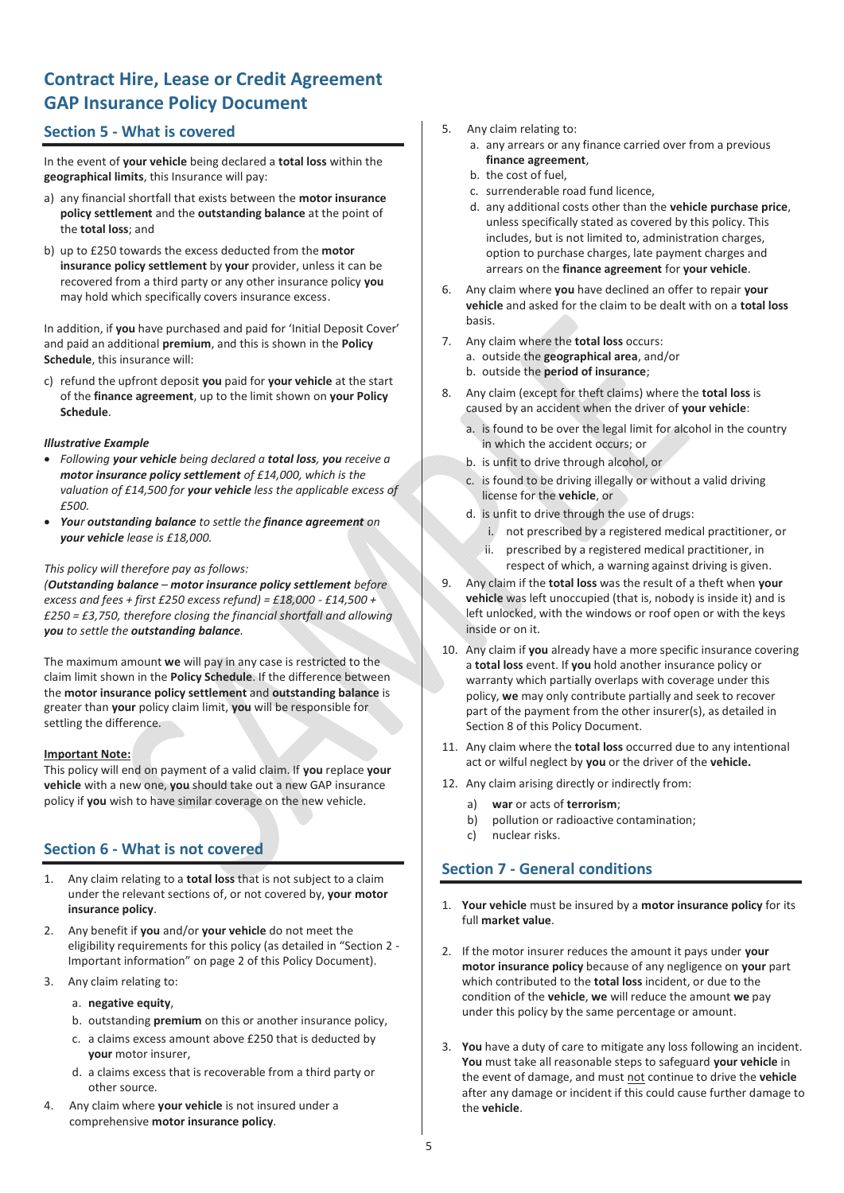# **Section 5 - What is covered**

In the event of **your vehicle** being declared a **total loss** within the **geographical limits**, this Insurance will pay:

- a) any financial shortfall that exists between the **motor insurance policy settlement** and the **outstanding balance** at the point of the **total loss**; and
- b) up to £250 towards the excess deducted from the **motor insurance policy settlement** by **your** provider, unless it can be recovered from a third party or any other insurance policy **you** may hold which specifically covers insurance excess.

In addition, if **you** have purchased and paid for 'Initial Deposit Cover' and paid an additional **premium**, and this is shown in the **Policy Schedule**, this insurance will:

c) refund the upfront deposit **you** paid for **your vehicle** at the start of the **finance agreement**, up to the limit shown on **your Policy Schedule**.

# *Illustrative Example*

- x *Following your vehicle being declared a total loss, you receive a motor insurance policy settlement of £14,000, which is the valuation of £14,500 for your vehicle less the applicable excess of £500.*
- x *Your outstanding balance to settle the finance agreement on your vehicle lease is £18,000.*

### *This policy will therefore pay as follows:*

*(Outstanding balance – motor insurance policy settlement before excess and fees + first £250 excess refund) = £18,000 - £14,500 + £250 = £3,750, therefore closing the financial shortfall and allowing you to settle the outstanding balance.* 

The maximum amount **we** will pay in any case is restricted to the claim limit shown in the **Policy Schedule**. If the difference between the **motor insurance policy settlement** and **outstanding balance** is greater than **your** policy claim limit, **you** will be responsible for settling the difference.

# **Important Note:**

This policy will end on payment of a valid claim. If **you** replace **your vehicle** with a new one, **you** should take out a new GAP insurance policy if **you** wish to have similar coverage on the new vehicle.

# **Section 6 - What is not covered**

- 1. Any claim relating to a **total loss** that is not subject to a claim under the relevant sections of, or not covered by, **your motor insurance policy**.
- 2. Any benefit if **you** and/or **your vehicle** do not meet the eligibility requirements for this policy (as detailed in "Section 2 - Important information" on page 2 of this Policy Document).
- 3. Any claim relating to:
	- a. **negative equity**,
	- b. outstanding **premium** on this or another insurance policy,
	- c. a claims excess amount above £250 that is deducted by **your** motor insurer,
	- d. a claims excess that is recoverable from a third party or other source.
- 4. Any claim where **your vehicle** is not insured under a comprehensive **motor insurance policy**.
- 5. Any claim relating to:
	- a. any arrears or any finance carried over from a previous **finance agreement**,
	- b. the cost of fuel,
	- c. surrenderable road fund licence,
	- d. any additional costs other than the **vehicle purchase price**, unless specifically stated as covered by this policy. This includes, but is not limited to, administration charges, option to purchase charges, late payment charges and arrears on the **finance agreement** for **your vehicle**.
- 6. Any claim where **you** have declined an offer to repair **your vehicle** and asked for the claim to be dealt with on a **total loss** basis.
- 7. Any claim where the **total loss** occurs: a. outside the **geographical area**, and/or b. outside the **period of insurance**;
- 8. Any claim (except for theft claims) where the **total loss** is caused by an accident when the driver of **your vehicle**:
	- a. is found to be over the legal limit for alcohol in the country in which the accident occurs; or
	- b. is unfit to drive through alcohol, or
	- c. is found to be driving illegally or without a valid driving license for the **vehicle**, or
	- d. is unfit to drive through the use of drugs:
		- i. not prescribed by a registered medical practitioner, or
		- ii. prescribed by a registered medical practitioner, in respect of which, a warning against driving is given.
- 9. Any claim if the **total loss** was the result of a theft when **your vehicle** was left unoccupied (that is, nobody is inside it) and is left unlocked, with the windows or roof open or with the keys inside or on it.
- 10. Any claim if **you** already have a more specific insurance covering a **total loss** event. If **you** hold another insurance policy or warranty which partially overlaps with coverage under this policy, **we** may only contribute partially and seek to recover part of the payment from the other insurer(s), as detailed in Section 8 of this Policy Document.
- 11. Any claim where the **total loss** occurred due to any intentional act or wilful neglect by **you** or the driver of the **vehicle.**
- 12. Any claim arising directly or indirectly from:
	- a) **war** or acts of **terrorism**;
	- b) pollution or radioactive contamination;
	- c) nuclear risks.

# **Section 7 - General conditions**

- 1. **Your vehicle** must be insured by a **motor insurance policy** for its full **market value**.
- 2. If the motor insurer reduces the amount it pays under **your motor insurance policy** because of any negligence on **your** part which contributed to the **total loss** incident, or due to the condition of the **vehicle**, **we** will reduce the amount **we** pay under this policy by the same percentage or amount.
- 3. **You** have a duty of care to mitigate any loss following an incident. **You** must take all reasonable steps to safeguard **your vehicle** in the event of damage, and must not continue to drive the **vehicle** after any damage or incident if this could cause further damage to the **vehicle**.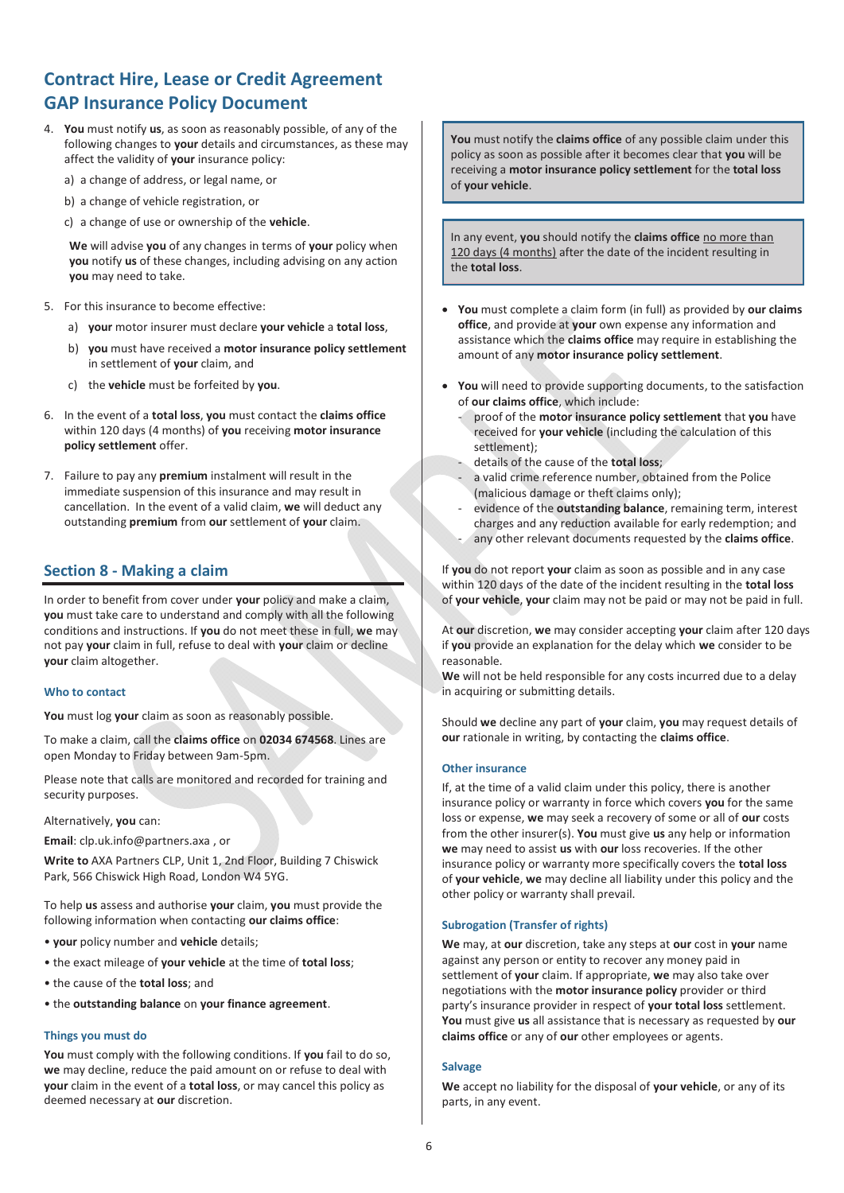- 4. **You** must notify **us**, as soon as reasonably possible, of any of the following changes to **your** details and circumstances, as these may affect the validity of **your** insurance policy:
	- a) a change of address, or legal name, or
	- b) a change of vehicle registration, or
	- c) a change of use or ownership of the **vehicle**.

**We** will advise **you** of any changes in terms of **your** policy when **you** notify **us** of these changes, including advising on any action **you** may need to take.

- 5. For this insurance to become effective:
	- a) **your** motor insurer must declare **your vehicle** a **total loss**,
	- b) **you** must have received a **motor insurance policy settlement** in settlement of **your** claim, and
	- c) the **vehicle** must be forfeited by **you**.
- 6. In the event of a **total loss**, **you** must contact the **claims office** within 120 days (4 months) of **you** receiving **motor insurance policy settlement** offer.
- 7. Failure to pay any **premium** instalment will result in the immediate suspension of this insurance and may result in cancellation. In the event of a valid claim, **we** will deduct any outstanding **premium** from **our** settlement of **your** claim.

# **Section 8 - Making a claim**

In order to benefit from cover under **your** policy and make a claim, **you** must take care to understand and comply with all the following conditions and instructions. If **you** do not meet these in full, **we** may not pay **your** claim in full, refuse to deal with **your** claim or decline **your** claim altogether.

# **Who to contact**

**You** must log **your** claim as soon as reasonably possible.

To make a claim, call the **claims office** on **02034 674568**. Lines are open Monday to Friday between 9am-5pm.

Please note that calls are monitored and recorded for training and security purposes.

Alternatively, **you** can:

**Email**: clp.uk.info@partners.axa , or

**Write to** AXA Partners CLP, Unit 1, 2nd Floor, Building 7 Chiswick Park, 566 Chiswick High Road, London W4 5YG.

To help **us** assess and authorise **your** claim, **you** must provide the following information when contacting **our claims office**:

- **your** policy number and **vehicle** details;
- the exact mileage of **your vehicle** at the time of **total loss**;
- the cause of the **total loss**; and
- the **outstanding balance** on **your finance agreement**.

# **Things you must do**

**You** must comply with the following conditions. If **you** fail to do so, **we** may decline, reduce the paid amount on or refuse to deal with **your** claim in the event of a **total loss**, or may cancel this policy as deemed necessary at **our** discretion.

**You** must notify the **claims office** of any possible claim under this policy as soon as possible after it becomes clear that **you** will be receiving a **motor insurance policy settlement** for the **total loss**  of **your vehicle**.

In any event, **you** should notify the **claims office** no more than 120 days (4 months) after the date of the incident resulting in the **total loss**.

- x **You** must complete a claim form (in full) as provided by **our claims office**, and provide at **your** own expense any information and assistance which the **claims office** may require in establishing the amount of any **motor insurance policy settlement**.
- **You** will need to provide supporting documents, to the satisfaction of **our claims office**, which include:
	- proof of the **motor insurance policy settlement** that **you** have received for **your vehicle** (including the calculation of this settlement);
	- details of the cause of the **total loss**;
	- a valid crime reference number, obtained from the Police (malicious damage or theft claims only);
	- evidence of the **outstanding balance**, remaining term, interest charges and any reduction available for early redemption; and
	- any other relevant documents requested by the **claims office**.

If **you** do not report **your** claim as soon as possible and in any case within 120 days of the date of the incident resulting in the **total loss**  of **your vehicle**, **your** claim may not be paid or may not be paid in full.

At **our** discretion, **we** may consider accepting **your** claim after 120 days if **you** provide an explanation for the delay which **we** consider to be reasonable.

**We** will not be held responsible for any costs incurred due to a delay in acquiring or submitting details.

Should **we** decline any part of **your** claim, **you** may request details of **our** rationale in writing, by contacting the **claims office**.

# **Other insurance**

If, at the time of a valid claim under this policy, there is another insurance policy or warranty in force which covers **you** for the same loss or expense, **we** may seek a recovery of some or all of **our** costs from the other insurer(s). **You** must give **us** any help or information **we** may need to assist **us** with **our** loss recoveries. If the other insurance policy or warranty more specifically covers the **total loss**  of **your vehicle**, **we** may decline all liability under this policy and the other policy or warranty shall prevail.

# **Subrogation (Transfer of rights)**

**We** may, at **our** discretion, take any steps at **our** cost in **your** name against any person or entity to recover any money paid in settlement of **your** claim. If appropriate, **we** may also take over negotiations with the **motor insurance policy** provider or third party's insurance provider in respect of **your total loss** settlement. **You** must give **us** all assistance that is necessary as requested by **our claims office** or any of **our** other employees or agents.

# **Salvage**

**We** accept no liability for the disposal of **your vehicle**, or any of its parts, in any event.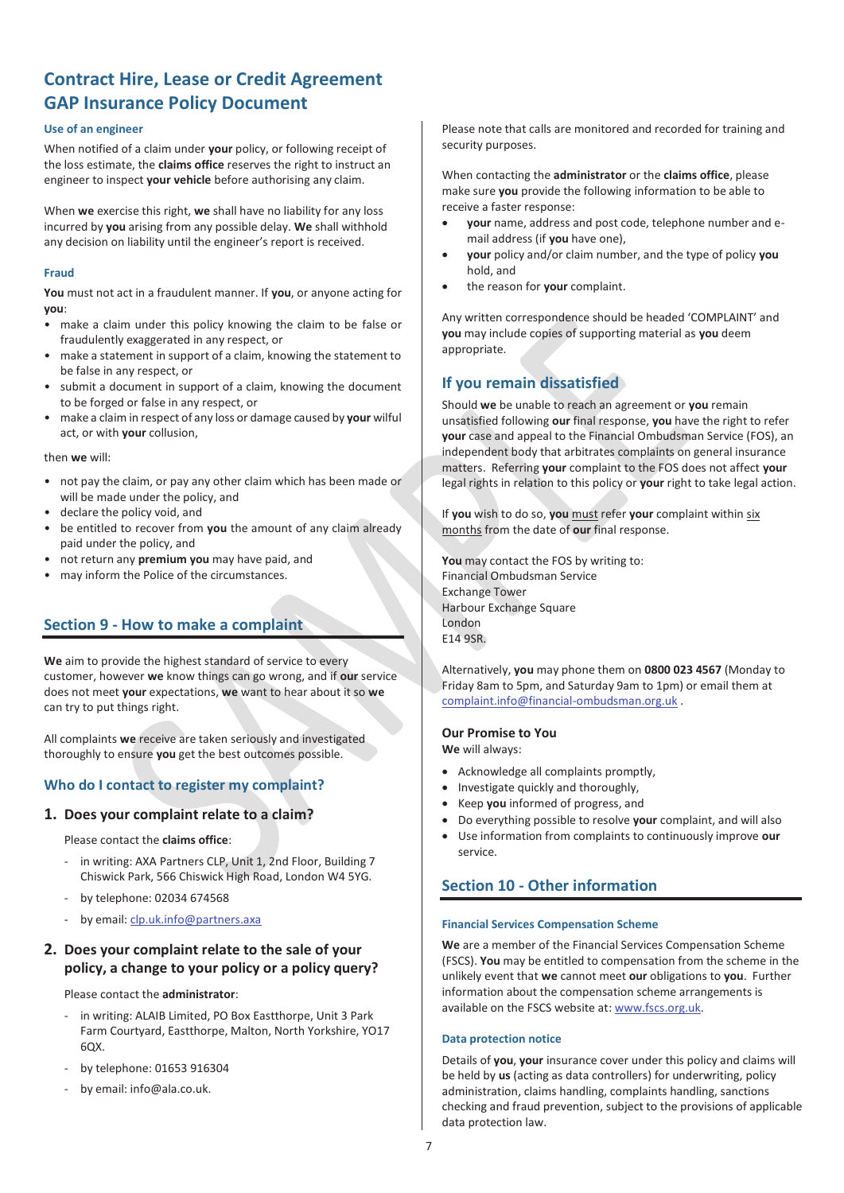# **Use of an engineer**

When notified of a claim under **your** policy, or following receipt of the loss estimate, the **claims office** reserves the right to instruct an engineer to inspect **your vehicle** before authorising any claim.

When **we** exercise this right, **we** shall have no liability for any loss incurred by **you** arising from any possible delay. **We** shall withhold any decision on liability until the engineer's report is received.

# **Fraud**

**You** must not act in a fraudulent manner. If **you**, or anyone acting for **you**:

- make a claim under this policy knowing the claim to be false or fraudulently exaggerated in any respect, or
- make a statement in support of a claim, knowing the statement to be false in any respect, or
- submit a document in support of a claim, knowing the document to be forged or false in any respect, or
- make a claim in respect of any loss or damage caused by **your** wilful act, or with **your** collusion,

#### then **we** will:

- not pay the claim, or pay any other claim which has been made or will be made under the policy, and
- declare the policy void, and
- be entitled to recover from **you** the amount of any claim already paid under the policy, and
- not return any **premium you** may have paid, and
- may inform the Police of the circumstances.

# **Section 9 - How to make a complaint**

**We** aim to provide the highest standard of service to every customer, however **we** know things can go wrong, and if **our** service does not meet **your** expectations, **we** want to hear about it so **we** can try to put things right.

All complaints **we** receive are taken seriously and investigated thoroughly to ensure **you** get the best outcomes possible.

# **Who do I contact to register my complaint?**

# **1. Does your complaint relate to a claim?**

Please contact the **claims office**:

- in writing: AXA Partners CLP, Unit 1, 2nd Floor, Building 7 Chiswick Park, 566 Chiswick High Road, London W4 5YG.
- by telephone: 02034 674568
- by email: clp.uk.info@partners.axa

# **2. Does your complaint relate to the sale of your policy, a change to your policy or a policy query?**

Please contact the **administrator**:

- in writing: ALAIB Limited, PO Box Eastthorpe, Unit 3 Park Farm Courtyard, Eastthorpe, Malton, North Yorkshire, YO17  $60x$
- by telephone: 01653 916304
- by email: info@ala.co.uk.

Please note that calls are monitored and recorded for training and security purposes.

When contacting the **administrator** or the **claims office**, please make sure **you** provide the following information to be able to receive a faster response:

- x **your** name, address and post code, telephone number and email address (if **you** have one),
- x **your** policy and/or claim number, and the type of policy **you** hold, and
- x the reason for **your** complaint.

Any written correspondence should be headed 'COMPLAINT' and **you** may include copies of supporting material as **you** deem appropriate.

# **If you remain dissatisfied**

Should **we** be unable to reach an agreement or **you** remain unsatisfied following **our** final response, **you** have the right to refer **your** case and appeal to the Financial Ombudsman Service (FOS), an independent body that arbitrates complaints on general insurance matters. Referring **your** complaint to the FOS does not affect **your** legal rights in relation to this policy or **your** right to take legal action.

If **you** wish to do so, **you** must refer **your** complaint within six months from the date of **our** final response.

**You** may contact the FOS by writing to: Financial Ombudsman Service Exchange Tower Harbour Exchange Square London E14 9SR.

Alternatively, **you** may phone them on **0800 023 4567** (Monday to Friday 8am to 5pm, and Saturday 9am to 1pm) or email them at complaint.info@financial-ombudsman.org.uk .

# **Our Promise to You**

**We** will always:

- Acknowledge all complaints promptly,
- Investigate quickly and thoroughly.
- x Keep **you** informed of progress, and
- x Do everything possible to resolve **your** complaint, and will also
- **v** Use information from complaints to continuously improve our service.

# **Section 10 - Other information**

#### **Financial Services Compensation Scheme**

**We** are a member of the Financial Services Compensation Scheme (FSCS). **You** may be entitled to compensation from the scheme in the unlikely event that **we** cannot meet **our** obligations to **you**. Further information about the compensation scheme arrangements is available on the FSCS website at: www.fscs.org.uk.

#### **Data protection notice**

Details of **you**, **your** insurance cover under this policy and claims will be held by **us** (acting as data controllers) for underwriting, policy administration, claims handling, complaints handling, sanctions checking and fraud prevention, subject to the provisions of applicable data protection law.